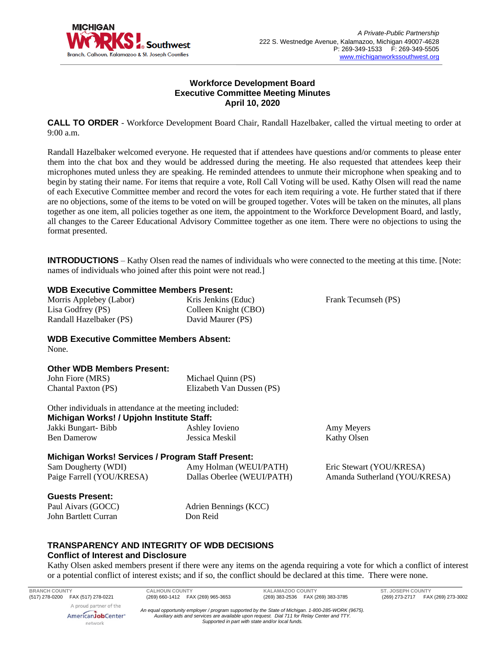

# **Workforce Development Board Executive Committee Meeting Minutes April 10, 2020**

**CALL TO ORDER** - Workforce Development Board Chair, Randall Hazelbaker, called the virtual meeting to order at 9:00 a.m.

Randall Hazelbaker welcomed everyone. He requested that if attendees have questions and/or comments to please enter them into the chat box and they would be addressed during the meeting. He also requested that attendees keep their microphones muted unless they are speaking. He reminded attendees to unmute their microphone when speaking and to begin by stating their name. For items that require a vote, Roll Call Voting will be used. Kathy Olsen will read the name of each Executive Committee member and record the votes for each item requiring a vote. He further stated that if there are no objections, some of the items to be voted on will be grouped together. Votes will be taken on the minutes, all plans together as one item, all policies together as one item, the appointment to the Workforce Development Board, and lastly, all changes to the Career Educational Advisory Committee together as one item. There were no objections to using the format presented.

**INTRODUCTIONS** – Kathy Olsen read the names of individuals who were connected to the meeting at this time. [Note: names of individuals who joined after this point were not read.]

#### **WDB Executive Committee Members Present:**

Morris Applebey (Labor) Lisa Godfrey (PS) Randall Hazelbaker (PS)

Kris Jenkins (Educ) Colleen Knight (CBO) David Maurer (PS)

Frank Tecumseh (PS)

**WDB Executive Committee Members Absent:** None.

#### **Other WDB Members Present:**

| John Fiore (MRS)    | Michael Quinn (PS)        |
|---------------------|---------------------------|
| Chantal Paxton (PS) | Elizabeth Van Dussen (PS) |

Other individuals in attendance at the meeting included: **Michigan Works! / Upjohn Institute Staff:** Jakki Bungart- Bibb Ben Damerow Ashley Iovieno Jessica Meskil

Amy Meyers Kathy Olsen

# **Michigan Works! Services / Program Staff Present:**

| Sam Dougherty (WDI)       | Amy Holman (WEUI/PATH)     | Eric Stewart (YOU/KRESA)      |
|---------------------------|----------------------------|-------------------------------|
| Paige Farrell (YOU/KRESA) | Dallas Oberlee (WEUI/PATH) | Amanda Sutherland (YOU/KRESA) |

#### **Guests Present:**

Paul Aivars (GOCC) John Bartlett Curran

Adrien Bennings (KCC) Don Reid

# **TRANSPARENCY AND INTEGRITY OF WDB DECISIONS Conflict of Interest and Disclosure**

Kathy Olsen asked members present if there were any items on the agenda requiring a vote for which a conflict of interest or a potential conflict of interest exists; and if so, the conflict should be declared at this time. There were none.

**BRANCH COUNTY CALHOUN COUNTY KALAMAZOO COUNTY ST. JOSEPH COUNTY** A proud partner of the AmericanJobCenter<sup>®</sup>

network

*An equal opportunity employer / program supported by the State of Michigan. 1-800-285-WORK (9675). Auxiliary aids and services are available upon request. Dial 711 for Relay Center and TTY. Supported in part with state and/or local funds.*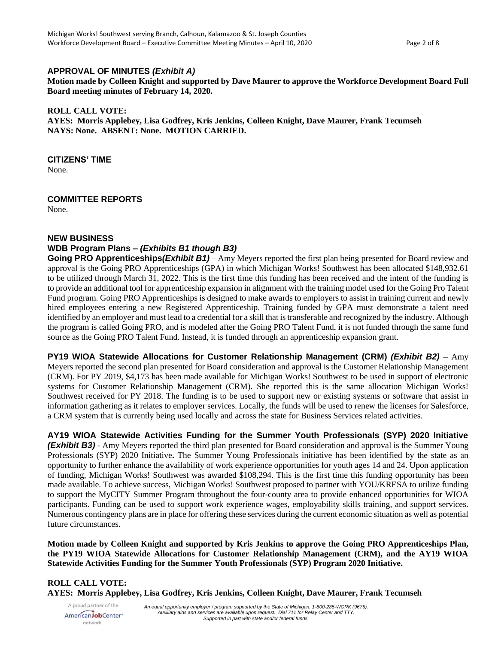# **APPROVAL OF MINUTES** *(Exhibit A)*

**Motion made by Colleen Knight and supported by Dave Maurer to approve the Workforce Development Board Full Board meeting minutes of February 14, 2020.**

#### **ROLL CALL VOTE:**

**AYES: Morris Applebey, Lisa Godfrey, Kris Jenkins, Colleen Knight, Dave Maurer, Frank Tecumseh NAYS: None. ABSENT: None. MOTION CARRIED.**

#### **CITIZENS' TIME**

None.

#### **COMMITTEE REPORTS**

None.

#### **NEW BUSINESS**

#### **WDB Program Plans –** *(Exhibits B1 though B3)*

**Going PRO Apprenticeships***(Exhibit B1)* – Amy Meyers reported the first plan being presented for Board review and approval is the Going PRO Apprenticeships (GPA) in which Michigan Works! Southwest has been allocated \$148,932.61 to be utilized through March 31, 2022. This is the first time this funding has been received and the intent of the funding is to provide an additional tool for apprenticeship expansion in alignment with the training model used for the Going Pro Talent Fund program. Going PRO Apprenticeships is designed to make awards to employers to assist in training current and newly hired employees entering a new Registered Apprenticeship. Training funded by GPA must demonstrate a talent need identified by an employer and must lead to a credential for a skill that is transferable and recognized by the industry. Although the program is called Going PRO, and is modeled after the Going PRO Talent Fund, it is not funded through the same fund source as the Going PRO Talent Fund. Instead, it is funded through an apprenticeship expansion grant.

**PY19 WIOA Statewide Allocations for Customer Relationship Management (CRM)** *(Exhibit B2)* – Amy Meyers reported the second plan presented for Board consideration and approval is the Customer Relationship Management (CRM). For PY 2019, \$4,173 has been made available for Michigan Works! Southwest to be used in support of electronic systems for Customer Relationship Management (CRM). She reported this is the same allocation Michigan Works! Southwest received for PY 2018. The funding is to be used to support new or existing systems or software that assist in information gathering as it relates to employer services. Locally, the funds will be used to renew the licenses for Salesforce, a CRM system that is currently being used locally and across the state for Business Services related activities.

**AY19 WIOA Statewide Activities Funding for the Summer Youth Professionals (SYP) 2020 Initiative** *(Exhibit B3)* - Amy Meyers reported the third plan presented for Board consideration and approval is the Summer Young Professionals (SYP) 2020 Initiative**.** The Summer Young Professionals initiative has been identified by the state as an opportunity to further enhance the availability of work experience opportunities for youth ages 14 and 24. Upon application of funding, Michigan Works! Southwest was awarded \$108,294. This is the first time this funding opportunity has been made available. To achieve success, Michigan Works! Southwest proposed to partner with YOU/KRESA to utilize funding to support the MyCITY Summer Program throughout the four-county area to provide enhanced opportunities for WIOA participants. Funding can be used to support work experience wages, employability skills training, and support services. Numerous contingency plans are in place for offering these services during the current economic situation as well as potential future circumstances.

**Motion made by Colleen Knight and supported by Kris Jenkins to approve the Going PRO Apprenticeships Plan, the PY19 WIOA Statewide Allocations for Customer Relationship Management (CRM), and the AY19 WIOA Statewide Activities Funding for the Summer Youth Professionals (SYP) Program 2020 Initiative.**

# **ROLL CALL VOTE:**

**AYES: Morris Applebey, Lisa Godfrey, Kris Jenkins, Colleen Knight, Dave Maurer, Frank Tecumseh**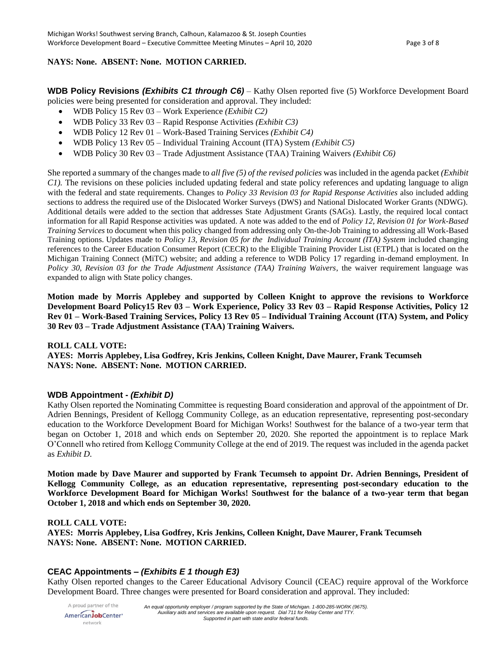### **NAYS: None. ABSENT: None. MOTION CARRIED.**

**WDB Policy Revisions** *(Exhibits C1 through C6)* – Kathy Olsen reported five (5) Workforce Development Board policies were being presented for consideration and approval. They included:

- WDB Policy 15 Rev 03 Work Experience *(Exhibit C2)*
- WDB Policy 33 Rev 03 Rapid Response Activities *(Exhibit C3)*
- WDB Policy 12 Rev 01 Work-Based Training Services *(Exhibit C4)*
- WDB Policy 13 Rev 05 Individual Training Account (ITA) System *(Exhibit C5)*
- WDB Policy 30 Rev 03 Trade Adjustment Assistance (TAA) Training Waivers *(Exhibit C6)*

She reported a summary of the changes made to *all five (5) of the revised policies* was included in the agenda packet *(Exhibit C1).* The revisions on these policies included updating federal and state policy references and updating language to align with the federal and state requirements. Changes to *Policy 33 Revision 03 for Rapid Response Activities* also included adding sections to address the required use of the Dislocated Worker Surveys (DWS) and National Dislocated Worker Grants (NDWG). Additional details were added to the section that addresses State Adjustment Grants (SAGs). Lastly, the required local contact information for all Rapid Response activities was updated. A note was added to the end of *Policy 12, Revision 01 for Work-Based Training Services* to document when this policy changed from addressing only On-the-Job Training to addressing all Work-Based Training options. Updates made to *Policy 13, Revision 05 for the Individual Training Account (ITA) System* included changing references to the Career Education Consumer Report (CECR) to the Eligible Training Provider List (ETPL) that is located on the Michigan Training Connect (MiTC) website; and adding a reference to WDB Policy 17 regarding in-demand employment. In *Policy 30, Revision 03 for the Trade Adjustment Assistance (TAA) Training Waivers*, the waiver requirement language was expanded to align with State policy changes.

**Motion made by Morris Applebey and supported by Colleen Knight to approve the revisions to Workforce Development Board Policy15 Rev 03 – Work Experience, Policy 33 Rev 03 – Rapid Response Activities, Policy 12 Rev 01 – Work-Based Training Services, Policy 13 Rev 05 – Individual Training Account (ITA) System, and Policy 30 Rev 03 – Trade Adjustment Assistance (TAA) Training Waivers.** 

#### **ROLL CALL VOTE:**

**AYES: Morris Applebey, Lisa Godfrey, Kris Jenkins, Colleen Knight, Dave Maurer, Frank Tecumseh NAYS: None. ABSENT: None. MOTION CARRIED.**

# **WDB Appointment -** *(Exhibit D)*

Kathy Olsen reported the Nominating Committee is requesting Board consideration and approval of the appointment of Dr. Adrien Bennings, President of Kellogg Community College, as an education representative, representing post-secondary education to the Workforce Development Board for Michigan Works! Southwest for the balance of a two-year term that began on October 1, 2018 and which ends on September 20, 2020. She reported the appointment is to replace Mark O'Connell who retired from Kellogg Community College at the end of 2019. The request was included in the agenda packet as *Exhibit D*.

**Motion made by Dave Maurer and supported by Frank Tecumseh to appoint Dr. Adrien Bennings, President of Kellogg Community College, as an education representative, representing post-secondary education to the Workforce Development Board for Michigan Works! Southwest for the balance of a two-year term that began October 1, 2018 and which ends on September 30, 2020.**

#### **ROLL CALL VOTE:**

**AYES: Morris Applebey, Lisa Godfrey, Kris Jenkins, Colleen Knight, Dave Maurer, Frank Tecumseh NAYS: None. ABSENT: None. MOTION CARRIED.**

# **CEAC Appointments –** *(Exhibits E 1 though E3)*

Kathy Olsen reported changes to the Career Educational Advisory Council (CEAC) require approval of the Workforce Development Board. Three changes were presented for Board consideration and approval. They included: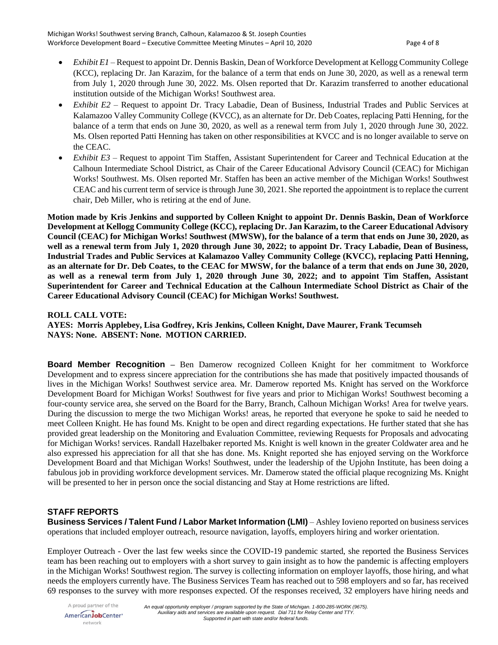- *Exhibit E1* Request to appoint Dr. Dennis Baskin, Dean of Workforce Development at Kellogg Community College (KCC), replacing Dr. Jan Karazim, for the balance of a term that ends on June 30, 2020, as well as a renewal term from July 1, 2020 through June 30, 2022. Ms. Olsen reported that Dr. Karazim transferred to another educational institution outside of the Michigan Works! Southwest area.
- *Exhibit E2* Request to appoint Dr. Tracy Labadie, Dean of Business, Industrial Trades and Public Services at Kalamazoo Valley Community College (KVCC), as an alternate for Dr. Deb Coates, replacing Patti Henning, for the balance of a term that ends on June 30, 2020, as well as a renewal term from July 1, 2020 through June 30, 2022. Ms. Olsen reported Patti Henning has taken on other responsibilities at KVCC and is no longer available to serve on the CEAC.
- *Exhibit E3* Request to appoint Tim Staffen, Assistant Superintendent for Career and Technical Education at the Calhoun Intermediate School District, as Chair of the Career Educational Advisory Council (CEAC) for Michigan Works! Southwest. Ms. Olsen reported Mr. Staffen has been an active member of the Michigan Works! Southwest CEAC and his current term of service is through June 30, 2021. She reported the appointment is to replace the current chair, Deb Miller, who is retiring at the end of June.

**Motion made by Kris Jenkins and supported by Colleen Knight to appoint Dr. Dennis Baskin, Dean of Workforce Development at Kellogg Community College (KCC), replacing Dr. Jan Karazim, to the Career Educational Advisory Council (CEAC) for Michigan Works! Southwest (MWSW), for the balance of a term that ends on June 30, 2020, as well as a renewal term from July 1, 2020 through June 30, 2022; to appoint Dr. Tracy Labadie, Dean of Business, Industrial Trades and Public Services at Kalamazoo Valley Community College (KVCC), replacing Patti Henning, as an alternate for Dr. Deb Coates, to the CEAC for MWSW, for the balance of a term that ends on June 30, 2020, as well as a renewal term from July 1, 2020 through June 30, 2022; and to appoint Tim Staffen, Assistant Superintendent for Career and Technical Education at the Calhoun Intermediate School District as Chair of the Career Educational Advisory Council (CEAC) for Michigan Works! Southwest.**

#### **ROLL CALL VOTE:**

**AYES: Morris Applebey, Lisa Godfrey, Kris Jenkins, Colleen Knight, Dave Maurer, Frank Tecumseh NAYS: None. ABSENT: None. MOTION CARRIED.**

**Board Member Recognition –** Ben Damerow recognized Colleen Knight for her commitment to Workforce Development and to express sincere appreciation for the contributions she has made that positively impacted thousands of lives in the Michigan Works! Southwest service area. Mr. Damerow reported Ms. Knight has served on the Workforce Development Board for Michigan Works! Southwest for five years and prior to Michigan Works! Southwest becoming a four-county service area, she served on the Board for the Barry, Branch, Calhoun Michigan Works! Area for twelve years. During the discussion to merge the two Michigan Works! areas, he reported that everyone he spoke to said he needed to meet Colleen Knight. He has found Ms. Knight to be open and direct regarding expectations. He further stated that she has provided great leadership on the Monitoring and Evaluation Committee, reviewing Requests for Proposals and advocating for Michigan Works! services. Randall Hazelbaker reported Ms. Knight is well known in the greater Coldwater area and he also expressed his appreciation for all that she has done. Ms. Knight reported she has enjoyed serving on the Workforce Development Board and that Michigan Works! Southwest, under the leadership of the Upjohn Institute, has been doing a fabulous job in providing workforce development services. Mr. Damerow stated the official plaque recognizing Ms. Knight will be presented to her in person once the social distancing and Stay at Home restrictions are lifted.

# **STAFF REPORTS**

**Business Services / Talent Fund / Labor Market Information (LMI)** – Ashley Iovieno reported on business services operations that included employer outreach, resource navigation, layoffs, employers hiring and worker orientation.

Employer Outreach - Over the last few weeks since the COVID-19 pandemic started, she reported the Business Services team has been reaching out to employers with a short survey to gain insight as to how the pandemic is affecting employers in the Michigan Works! Southwest region. The survey is collecting information on employer layoffs, those hiring, and what needs the employers currently have. The Business Services Team has reached out to 598 employers and so far, has received 69 responses to the survey with more responses expected. Of the responses received, 32 employers have hiring needs and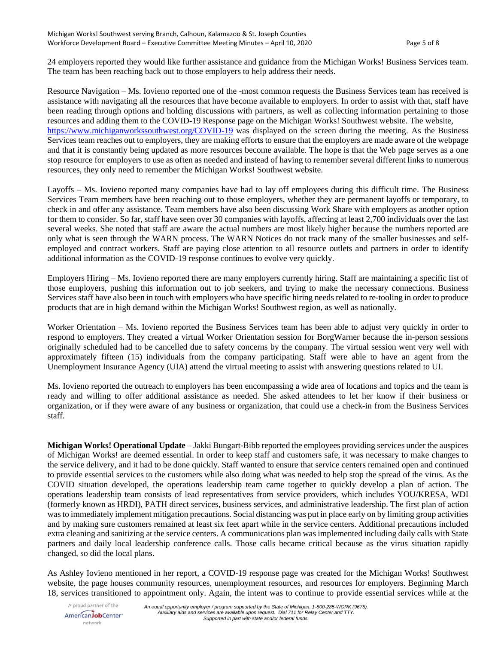24 employers reported they would like further assistance and guidance from the Michigan Works! Business Services team. The team has been reaching back out to those employers to help address their needs.

Resource Navigation – Ms. Iovieno reported one of the -most common requests the Business Services team has received is assistance with navigating all the resources that have become available to employers. In order to assist with that, staff have been reading through options and holding discussions with partners, as well as collecting information pertaining to those resources and adding them to the COVID-19 Response page on the Michigan Works! Southwest website. The website, <https://www.michiganworkssouthwest.org/COVID-19> was displayed on the screen during the meeting. As the Business Services team reaches out to employers, they are making efforts to ensure that the employers are made aware of the webpage and that it is constantly being updated as more resources become available. The hope is that the Web page serves as a one stop resource for employers to use as often as needed and instead of having to remember several different links to numerous resources, they only need to remember the Michigan Works! Southwest website.

Layoffs – Ms. Iovieno reported many companies have had to lay off employees during this difficult time. The Business Services Team members have been reaching out to those employers, whether they are permanent layoffs or temporary, to check in and offer any assistance. Team members have also been discussing Work Share with employers as another option for them to consider. So far, staff have seen over 30 companies with layoffs, affecting at least 2,700 individuals over the last several weeks. She noted that staff are aware the actual numbers are most likely higher because the numbers reported are only what is seen through the WARN process. The WARN Notices do not track many of the smaller businesses and selfemployed and contract workers. Staff are paying close attention to all resource outlets and partners in order to identify additional information as the COVID-19 response continues to evolve very quickly.

Employers Hiring – Ms. Iovieno reported there are many employers currently hiring. Staff are maintaining a specific list of those employers, pushing this information out to job seekers, and trying to make the necessary connections. Business Services staff have also been in touch with employers who have specific hiring needs related to re-tooling in order to produce products that are in high demand within the Michigan Works! Southwest region, as well as nationally.

Worker Orientation – Ms. Iovieno reported the Business Services team has been able to adjust very quickly in order to respond to employers. They created a virtual Worker Orientation session for BorgWarner because the in-person sessions originally scheduled had to be cancelled due to safety concerns by the company. The virtual session went very well with approximately fifteen (15) individuals from the company participating. Staff were able to have an agent from the Unemployment Insurance Agency (UIA) attend the virtual meeting to assist with answering questions related to UI.

Ms. Iovieno reported the outreach to employers has been encompassing a wide area of locations and topics and the team is ready and willing to offer additional assistance as needed. She asked attendees to let her know if their business or organization, or if they were aware of any business or organization, that could use a check-in from the Business Services staff.

**Michigan Works! Operational Update** – Jakki Bungart-Bibb reported the employees providing services under the auspices of Michigan Works! are deemed essential. In order to keep staff and customers safe, it was necessary to make changes to the service delivery, and it had to be done quickly. Staff wanted to ensure that service centers remained open and continued to provide essential services to the customers while also doing what was needed to help stop the spread of the virus. As the COVID situation developed, the operations leadership team came together to quickly develop a plan of action. The operations leadership team consists of lead representatives from service providers, which includes YOU/KRESA, WDI (formerly known as HRDI), PATH direct services, business services, and administrative leadership. The first plan of action was to immediately implement mitigation precautions. Social distancing was put in place early on by limiting group activities and by making sure customers remained at least six feet apart while in the service centers. Additional precautions included extra cleaning and sanitizing at the service centers. A communications plan was implemented including daily calls with State partners and daily local leadership conference calls. Those calls became critical because as the virus situation rapidly changed, so did the local plans.

As Ashley Iovieno mentioned in her report, a COVID-19 response page was created for the Michigan Works! Southwest website, the page houses community resources, unemployment resources, and resources for employers. Beginning March 18, services transitioned to appointment only. Again, the intent was to continue to provide essential services while at the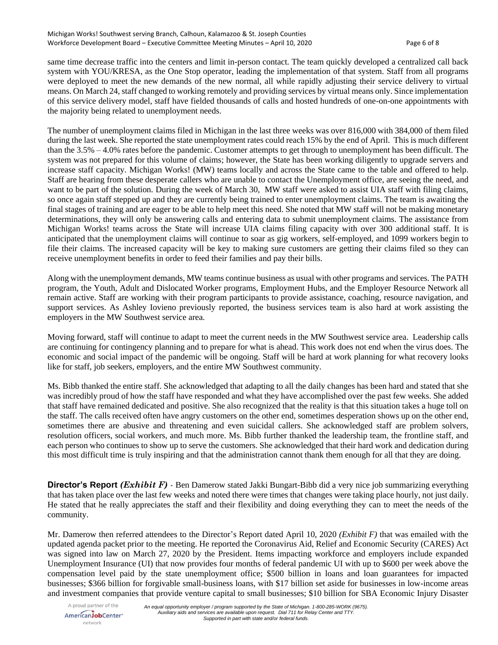same time decrease traffic into the centers and limit in-person contact. The team quickly developed a centralized call back system with YOU/KRESA, as the One Stop operator, leading the implementation of that system. Staff from all programs were deployed to meet the new demands of the new normal, all while rapidly adjusting their service delivery to virtual means. On March 24, staff changed to working remotely and providing services by virtual means only. Since implementation of this service delivery model, staff have fielded thousands of calls and hosted hundreds of one-on-one appointments with the majority being related to unemployment needs.

The number of unemployment claims filed in Michigan in the last three weeks was over 816,000 with 384,000 of them filed during the last week. She reported the state unemployment rates could reach 15% by the end of April. This is much different than the 3.5% – 4.0% rates before the pandemic. Customer attempts to get through to unemployment has been difficult. The system was not prepared for this volume of claims; however, the State has been working diligently to upgrade servers and increase staff capacity. Michigan Works! (MW) teams locally and across the State came to the table and offered to help. Staff are hearing from these desperate callers who are unable to contact the Unemployment office, are seeing the need, and want to be part of the solution. During the week of March 30, MW staff were asked to assist UIA staff with filing claims, so once again staff stepped up and they are currently being trained to enter unemployment claims. The team is awaiting the final stages of training and are eager to be able to help meet this need. She noted that MW staff will not be making monetary determinations, they will only be answering calls and entering data to submit unemployment claims. The assistance from Michigan Works! teams across the State will increase UIA claims filing capacity with over 300 additional staff. It is anticipated that the unemployment claims will continue to soar as gig workers, self-employed, and 1099 workers begin to file their claims. The increased capacity will be key to making sure customers are getting their claims filed so they can receive unemployment benefits in order to feed their families and pay their bills.

Along with the unemployment demands, MW teams continue business as usual with other programs and services. The PATH program, the Youth, Adult and Dislocated Worker programs, Employment Hubs, and the Employer Resource Network all remain active. Staff are working with their program participants to provide assistance, coaching, resource navigation, and support services. As Ashley Iovieno previously reported, the business services team is also hard at work assisting the employers in the MW Southwest service area.

Moving forward, staff will continue to adapt to meet the current needs in the MW Southwest service area. Leadership calls are continuing for contingency planning and to prepare for what is ahead. This work does not end when the virus does. The economic and social impact of the pandemic will be ongoing. Staff will be hard at work planning for what recovery looks like for staff, job seekers, employers, and the entire MW Southwest community.

Ms. Bibb thanked the entire staff. She acknowledged that adapting to all the daily changes has been hard and stated that she was incredibly proud of how the staff have responded and what they have accomplished over the past few weeks. She added that staff have remained dedicated and positive. She also recognized that the reality is that this situation takes a huge toll on the staff. The calls received often have angry customers on the other end, sometimes desperation shows up on the other end, sometimes there are abusive and threatening and even suicidal callers. She acknowledged staff are problem solvers, resolution officers, social workers, and much more. Ms. Bibb further thanked the leadership team, the frontline staff, and each person who continues to show up to serve the customers. She acknowledged that their hard work and dedication during this most difficult time is truly inspiring and that the administration cannot thank them enough for all that they are doing.

**Director's Report** *(Exhibit F)* - Ben Damerow stated Jakki Bungart-Bibb did a very nice job summarizing everything that has taken place over the last few weeks and noted there were times that changes were taking place hourly, not just daily. He stated that he really appreciates the staff and their flexibility and doing everything they can to meet the needs of the community.

Mr. Damerow then referred attendees to the Director's Report dated April 10, 2020 *(Exhibit F)* that was emailed with the updated agenda packet prior to the meeting. He reported the Coronavirus Aid, Relief and Economic Security (CARES) Act was signed into law on March 27, 2020 by the President. Items impacting workforce and employers include expanded Unemployment Insurance (UI) that now provides four months of federal pandemic UI with up to \$600 per week above the compensation level paid by the state unemployment office; \$500 billion in loans and loan guarantees for impacted businesses; \$366 billion for forgivable small-business loans, with \$17 billion set aside for businesses in low-income areas and investment companies that provide venture capital to small businesses; \$10 billion for SBA Economic Injury Disaster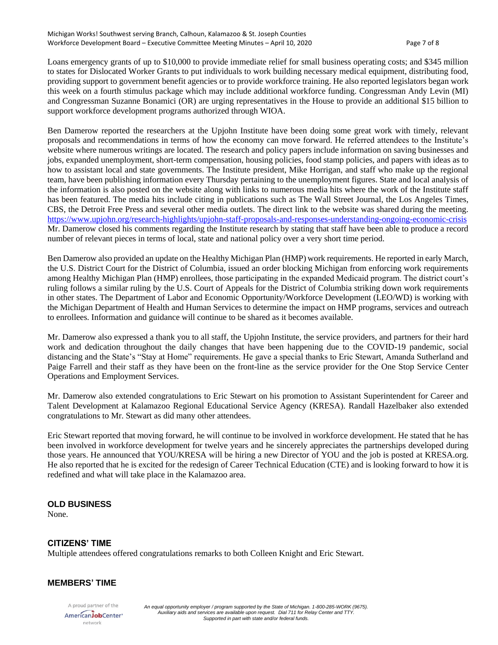Loans emergency grants of up to \$10,000 to provide immediate relief for small business operating costs; and \$345 million to states for Dislocated Worker Grants to put individuals to work building necessary medical equipment, distributing food, providing support to government benefit agencies or to provide workforce training. He also reported legislators began work this week on a fourth stimulus package which may include additional workforce funding. Congressman Andy Levin (MI) and Congressman Suzanne Bonamici (OR) are urging representatives in the House to provide an additional \$15 billion to support workforce development programs authorized through WIOA.

Ben Damerow reported the researchers at the Upjohn Institute have been doing some great work with timely, relevant proposals and recommendations in terms of how the economy can move forward. He referred attendees to the Institute's website where numerous writings are located. The research and policy papers include information on saving businesses and jobs, expanded unemployment, short-term compensation, housing policies, food stamp policies, and papers with ideas as to how to assistant local and state governments. The Institute president, Mike Horrigan, and staff who make up the regional team, have been publishing information every Thursday pertaining to the unemployment figures. State and local analysis of the information is also posted on the website along with links to numerous media hits where the work of the Institute staff has been featured. The media hits include citing in publications such as The Wall Street Journal, the Los Angeles Times, CBS, the Detroit Free Press and several other media outlets. The direct link to the website was shared during the meeting. <https://www.upjohn.org/research-highlights/upjohn-staff-proposals-and-responses-understanding-ongoing-economic-crisis> Mr. Damerow closed his comments regarding the Institute research by stating that staff have been able to produce a record number of relevant pieces in terms of local, state and national policy over a very short time period.

Ben Damerow also provided an update on the Healthy Michigan Plan (HMP) work requirements. He reported in early March, the U.S. District Court for the District of Columbia, issued an order blocking Michigan from enforcing work requirements among Healthy Michigan Plan (HMP) enrollees, those participating in the expanded Medicaid program. The district court's ruling follows a similar ruling by the U.S. Court of Appeals for the District of Columbia striking down work requirements in other states. The Department of Labor and Economic Opportunity/Workforce Development (LEO/WD) is working with the Michigan Department of Health and Human Services to determine the impact on HMP programs, services and outreach to enrollees. Information and guidance will continue to be shared as it becomes available.

Mr. Damerow also expressed a thank you to all staff, the Upjohn Institute, the service providers, and partners for their hard work and dedication throughout the daily changes that have been happening due to the COVID-19 pandemic, social distancing and the State's "Stay at Home" requirements. He gave a special thanks to Eric Stewart, Amanda Sutherland and Paige Farrell and their staff as they have been on the front-line as the service provider for the One Stop Service Center Operations and Employment Services.

Mr. Damerow also extended congratulations to Eric Stewart on his promotion to Assistant Superintendent for Career and Talent Development at Kalamazoo Regional Educational Service Agency (KRESA). Randall Hazelbaker also extended congratulations to Mr. Stewart as did many other attendees.

Eric Stewart reported that moving forward, he will continue to be involved in workforce development. He stated that he has been involved in workforce development for twelve years and he sincerely appreciates the partnerships developed during those years. He announced that YOU/KRESA will be hiring a new Director of YOU and the job is posted at KRESA.org. He also reported that he is excited for the redesign of Career Technical Education (CTE) and is looking forward to how it is redefined and what will take place in the Kalamazoo area.

# **OLD BUSINESS**

None.

# **CITIZENS' TIME**

Multiple attendees offered congratulations remarks to both Colleen Knight and Eric Stewart.

#### **MEMBERS' TIME**

A proud partner of the AmericanJobCenter\* network

*An equal opportunity employer / program supported by the State of Michigan. 1-800-285-WORK (9675). Auxiliary aids and services are available upon request. Dial 711 for Relay Center and TTY. Supported in part with state and/or federal funds.*